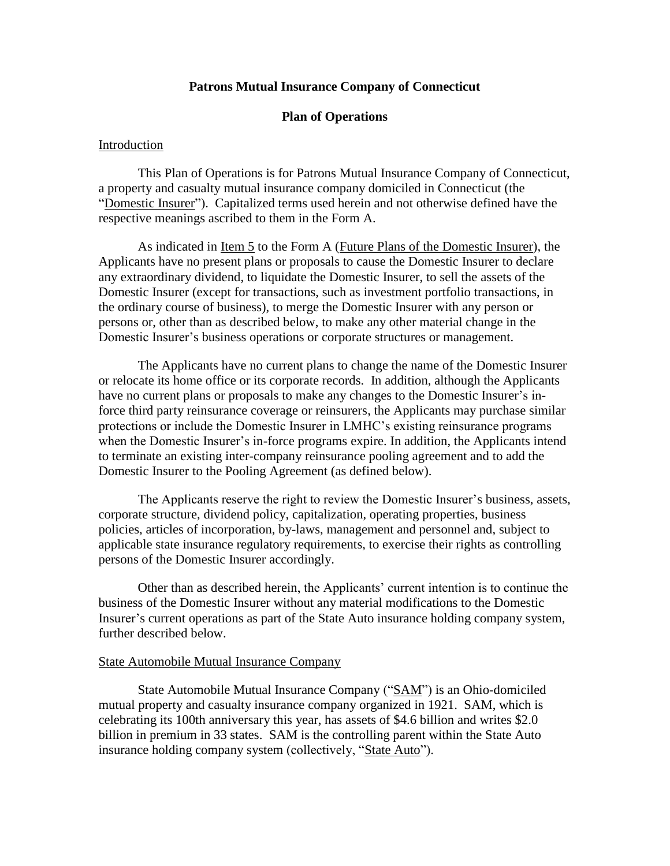# **Patrons Mutual Insurance Company of Connecticut**

# **Plan of Operations**

## Introduction

This Plan of Operations is for Patrons Mutual Insurance Company of Connecticut, a property and casualty mutual insurance company domiciled in Connecticut (the "Domestic Insurer"). Capitalized terms used herein and not otherwise defined have the respective meanings ascribed to them in the Form A.

As indicated in Item 5 to the Form A (Future Plans of the Domestic Insurer), the Applicants have no present plans or proposals to cause the Domestic Insurer to declare any extraordinary dividend, to liquidate the Domestic Insurer, to sell the assets of the Domestic Insurer (except for transactions, such as investment portfolio transactions, in the ordinary course of business), to merge the Domestic Insurer with any person or persons or, other than as described below, to make any other material change in the Domestic Insurer's business operations or corporate structures or management.

The Applicants have no current plans to change the name of the Domestic Insurer or relocate its home office or its corporate records. In addition, although the Applicants have no current plans or proposals to make any changes to the Domestic Insurer's inforce third party reinsurance coverage or reinsurers, the Applicants may purchase similar protections or include the Domestic Insurer in LMHC's existing reinsurance programs when the Domestic Insurer's in-force programs expire. In addition, the Applicants intend to terminate an existing inter-company reinsurance pooling agreement and to add the Domestic Insurer to the Pooling Agreement (as defined below).

The Applicants reserve the right to review the Domestic Insurer's business, assets, corporate structure, dividend policy, capitalization, operating properties, business policies, articles of incorporation, by-laws, management and personnel and, subject to applicable state insurance regulatory requirements, to exercise their rights as controlling persons of the Domestic Insurer accordingly.

Other than as described herein, the Applicants' current intention is to continue the business of the Domestic Insurer without any material modifications to the Domestic Insurer's current operations as part of the State Auto insurance holding company system, further described below.

## State Automobile Mutual Insurance Company

State Automobile Mutual Insurance Company ("SAM") is an Ohio-domiciled mutual property and casualty insurance company organized in 1921. SAM, which is celebrating its 100th anniversary this year, has assets of \$4.6 billion and writes \$2.0 billion in premium in 33 states. SAM is the controlling parent within the State Auto insurance holding company system (collectively, "State Auto").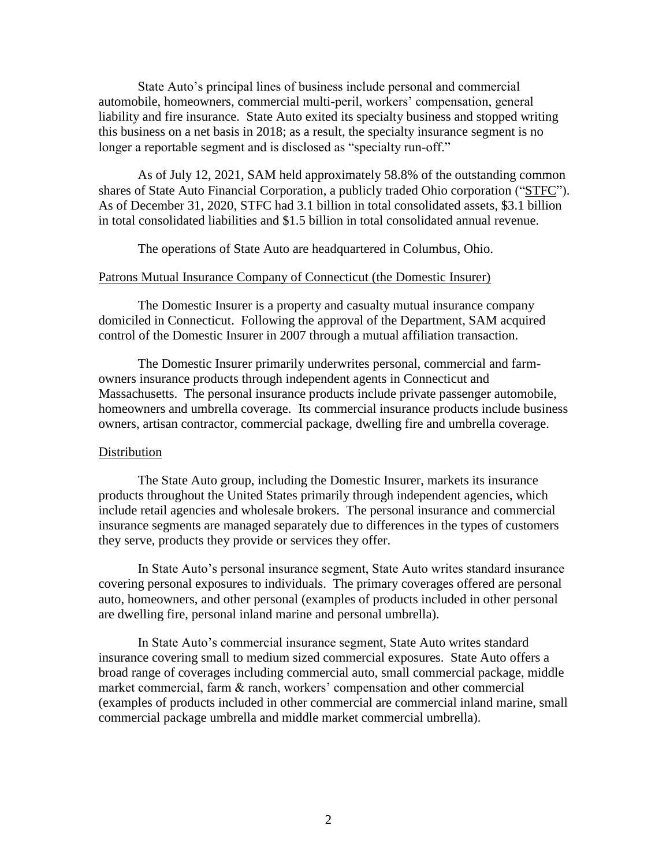State Auto's principal lines of business include personal and commercial automobile, homeowners, commercial multi-peril, workers' compensation, general liability and fire insurance. State Auto exited its specialty business and stopped writing this business on a net basis in 2018; as a result, the specialty insurance segment is no longer a reportable segment and is disclosed as "specialty run-off."

As of July 12, 2021, SAM held approximately 58.8% of the outstanding common shares of State Auto Financial Corporation, a publicly traded Ohio corporation ("STFC"). As of December 31, 2020, STFC had 3.1 billion in total consolidated assets, \$3.1 billion in total consolidated liabilities and \$1.5 billion in total consolidated annual revenue.

The operations of State Auto are headquartered in Columbus, Ohio.

#### Patrons Mutual Insurance Company of Connecticut (the Domestic Insurer)

The Domestic Insurer is a property and casualty mutual insurance company domiciled in Connecticut. Following the approval of the Department, SAM acquired control of the Domestic Insurer in 2007 through a mutual affiliation transaction.

The Domestic Insurer primarily underwrites personal, commercial and farmowners insurance products through independent agents in Connecticut and Massachusetts. The personal insurance products include private passenger automobile, homeowners and umbrella coverage. Its commercial insurance products include business owners, artisan contractor, commercial package, dwelling fire and umbrella coverage.

## Distribution

The State Auto group, including the Domestic Insurer, markets its insurance products throughout the United States primarily through independent agencies, which include retail agencies and wholesale brokers. The personal insurance and commercial insurance segments are managed separately due to differences in the types of customers they serve, products they provide or services they offer.

In State Auto's personal insurance segment, State Auto writes standard insurance covering personal exposures to individuals. The primary coverages offered are personal auto, homeowners, and other personal (examples of products included in other personal are dwelling fire, personal inland marine and personal umbrella).

In State Auto's commercial insurance segment, State Auto writes standard insurance covering small to medium sized commercial exposures. State Auto offers a broad range of coverages including commercial auto, small commercial package, middle market commercial, farm & ranch, workers' compensation and other commercial (examples of products included in other commercial are commercial inland marine, small commercial package umbrella and middle market commercial umbrella).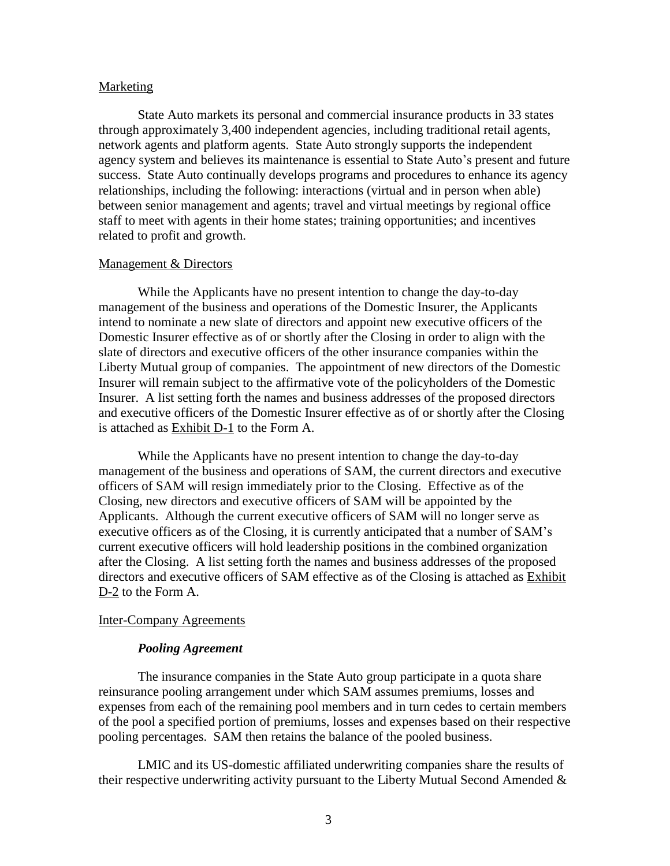#### Marketing

State Auto markets its personal and commercial insurance products in 33 states through approximately 3,400 independent agencies, including traditional retail agents, network agents and platform agents. State Auto strongly supports the independent agency system and believes its maintenance is essential to State Auto's present and future success. State Auto continually develops programs and procedures to enhance its agency relationships, including the following: interactions (virtual and in person when able) between senior management and agents; travel and virtual meetings by regional office staff to meet with agents in their home states; training opportunities; and incentives related to profit and growth.

## Management & Directors

While the Applicants have no present intention to change the day-to-day management of the business and operations of the Domestic Insurer, the Applicants intend to nominate a new slate of directors and appoint new executive officers of the Domestic Insurer effective as of or shortly after the Closing in order to align with the slate of directors and executive officers of the other insurance companies within the Liberty Mutual group of companies. The appointment of new directors of the Domestic Insurer will remain subject to the affirmative vote of the policyholders of the Domestic Insurer. A list setting forth the names and business addresses of the proposed directors and executive officers of the Domestic Insurer effective as of or shortly after the Closing is attached as Exhibit D-1 to the Form A.

While the Applicants have no present intention to change the day-to-day management of the business and operations of SAM, the current directors and executive officers of SAM will resign immediately prior to the Closing. Effective as of the Closing, new directors and executive officers of SAM will be appointed by the Applicants. Although the current executive officers of SAM will no longer serve as executive officers as of the Closing, it is currently anticipated that a number of SAM's current executive officers will hold leadership positions in the combined organization after the Closing. A list setting forth the names and business addresses of the proposed directors and executive officers of SAM effective as of the Closing is attached as Exhibit D-2 to the Form A.

## Inter-Company Agreements

## *Pooling Agreement*

The insurance companies in the State Auto group participate in a quota share reinsurance pooling arrangement under which SAM assumes premiums, losses and expenses from each of the remaining pool members and in turn cedes to certain members of the pool a specified portion of premiums, losses and expenses based on their respective pooling percentages. SAM then retains the balance of the pooled business.

LMIC and its US-domestic affiliated underwriting companies share the results of their respective underwriting activity pursuant to the Liberty Mutual Second Amended &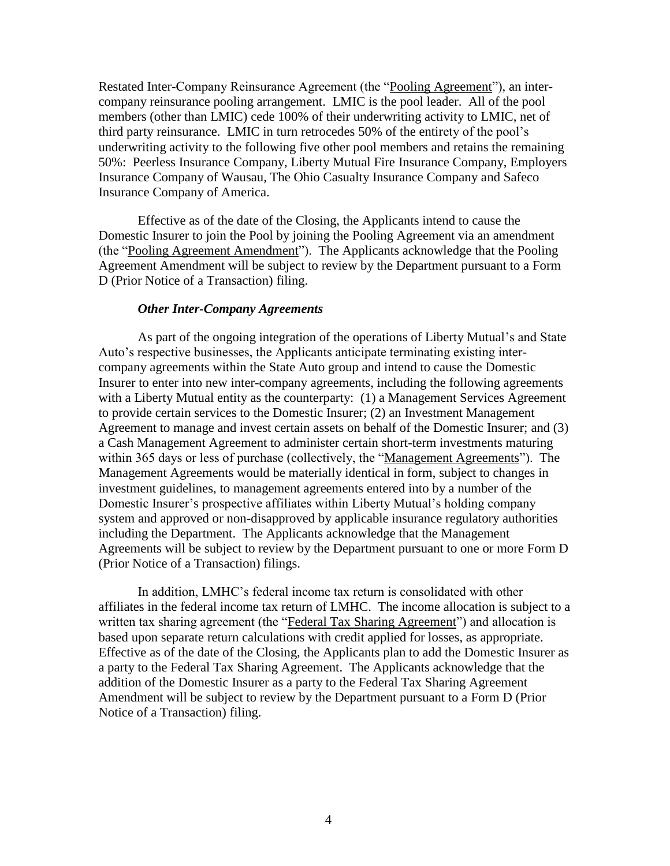Restated Inter-Company Reinsurance Agreement (the "Pooling Agreement"), an intercompany reinsurance pooling arrangement. LMIC is the pool leader. All of the pool members (other than LMIC) cede 100% of their underwriting activity to LMIC, net of third party reinsurance. LMIC in turn retrocedes 50% of the entirety of the pool's underwriting activity to the following five other pool members and retains the remaining 50%: Peerless Insurance Company, Liberty Mutual Fire Insurance Company, Employers Insurance Company of Wausau, The Ohio Casualty Insurance Company and Safeco Insurance Company of America.

Effective as of the date of the Closing, the Applicants intend to cause the Domestic Insurer to join the Pool by joining the Pooling Agreement via an amendment (the "Pooling Agreement Amendment"). The Applicants acknowledge that the Pooling Agreement Amendment will be subject to review by the Department pursuant to a Form D (Prior Notice of a Transaction) filing.

## *Other Inter-Company Agreements*

As part of the ongoing integration of the operations of Liberty Mutual's and State Auto's respective businesses, the Applicants anticipate terminating existing intercompany agreements within the State Auto group and intend to cause the Domestic Insurer to enter into new inter-company agreements, including the following agreements with a Liberty Mutual entity as the counterparty: (1) a Management Services Agreement to provide certain services to the Domestic Insurer; (2) an Investment Management Agreement to manage and invest certain assets on behalf of the Domestic Insurer; and (3) a Cash Management Agreement to administer certain short-term investments maturing within 365 days or less of purchase (collectively, the "Management Agreements"). The Management Agreements would be materially identical in form, subject to changes in investment guidelines, to management agreements entered into by a number of the Domestic Insurer's prospective affiliates within Liberty Mutual's holding company system and approved or non-disapproved by applicable insurance regulatory authorities including the Department. The Applicants acknowledge that the Management Agreements will be subject to review by the Department pursuant to one or more Form D (Prior Notice of a Transaction) filings.

In addition, LMHC's federal income tax return is consolidated with other affiliates in the federal income tax return of LMHC. The income allocation is subject to a written tax sharing agreement (the "Federal Tax Sharing Agreement") and allocation is based upon separate return calculations with credit applied for losses, as appropriate. Effective as of the date of the Closing, the Applicants plan to add the Domestic Insurer as a party to the Federal Tax Sharing Agreement. The Applicants acknowledge that the addition of the Domestic Insurer as a party to the Federal Tax Sharing Agreement Amendment will be subject to review by the Department pursuant to a Form D (Prior Notice of a Transaction) filing.